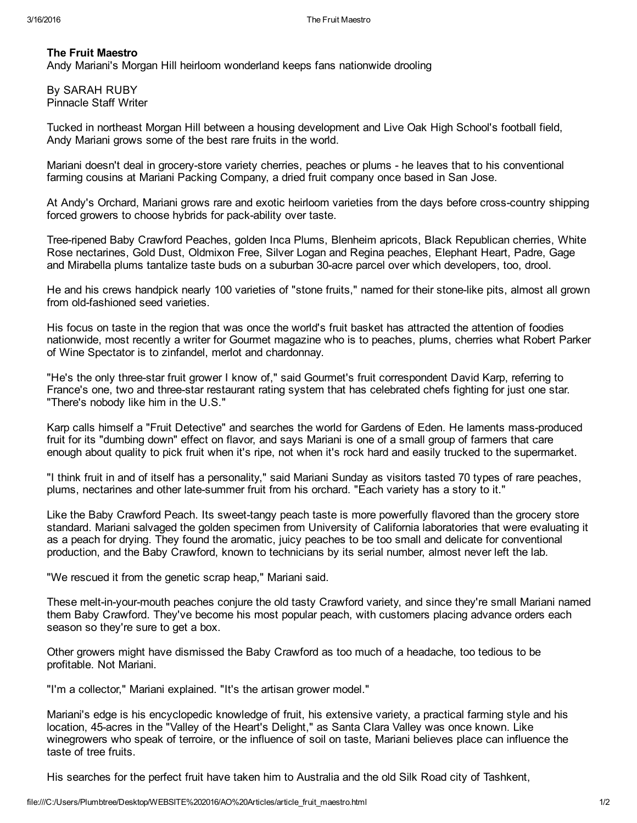## The Fruit Maestro

Andy Mariani's Morgan Hill heirloom wonderland keeps fans nationwide drooling

By SARAH RUBY Pinnacle Staff Writer

Tucked in northeast Morgan Hill between a housing development and Live Oak High School's football field, Andy Mariani grows some of the best rare fruits in the world.

Mariani doesn't deal in grocery-store variety cherries, peaches or plums - he leaves that to his conventional farming cousins at Mariani Packing Company, a dried fruit company once based in San Jose.

At Andy's Orchard, Mariani grows rare and exotic heirloom varieties from the days before crosscountry shipping forced growers to choose hybrids for pack-ability over taste.

Tree-ripened Baby Crawford Peaches, golden Inca Plums, Blenheim apricots, Black Republican cherries, White Rose nectarines, Gold Dust, Oldmixon Free, Silver Logan and Regina peaches, Elephant Heart, Padre, Gage and Mirabella plums tantalize taste buds on a suburban 30-acre parcel over which developers, too, drool.

He and his crews handpick nearly 100 varieties of "stone fruits," named for their stone-like pits, almost all grown from old-fashioned seed varieties.

His focus on taste in the region that was once the world's fruit basket has attracted the attention of foodies nationwide, most recently a writer for Gourmet magazine who is to peaches, plums, cherries what Robert Parker of Wine Spectator is to zinfandel, merlot and chardonnay.

"He's the only three-star fruit grower I know of," said Gourmet's fruit correspondent David Karp, referring to France's one, two and three-star restaurant rating system that has celebrated chefs fighting for just one star. "There's nobody like him in the U.S."

Karp calls himself a "Fruit Detective" and searches the world for Gardens of Eden. He laments mass-produced fruit for its "dumbing down" effect on flavor, and says Mariani is one of a small group of farmers that care enough about quality to pick fruit when it's ripe, not when it's rock hard and easily trucked to the supermarket.

"I think fruit in and of itself has a personality," said Mariani Sunday as visitors tasted 70 types of rare peaches, plums, nectarines and other latesummer fruit from his orchard. "Each variety has a story to it."

Like the Baby Crawford Peach. Its sweet-tangy peach taste is more powerfully flavored than the grocery store standard. Mariani salvaged the golden specimen from University of California laboratories that were evaluating it as a peach for drying. They found the aromatic, juicy peaches to be too small and delicate for conventional production, and the Baby Crawford, known to technicians by its serial number, almost never left the lab.

"We rescued it from the genetic scrap heap," Mariani said.

These melt-in-your-mouth peaches conjure the old tasty Crawford variety, and since they're small Mariani named them Baby Crawford. They've become his most popular peach, with customers placing advance orders each season so they're sure to get a box.

Other growers might have dismissed the Baby Crawford as too much of a headache, too tedious to be profitable. Not Mariani.

"I'm a collector," Mariani explained. "It's the artisan grower model."

Mariani's edge is his encyclopedic knowledge of fruit, his extensive variety, a practical farming style and his location, 45-acres in the "Valley of the Heart's Delight," as Santa Clara Valley was once known. Like winegrowers who speak of terroire, or the influence of soil on taste, Mariani believes place can influence the taste of tree fruits.

His searches for the perfect fruit have taken him to Australia and the old Silk Road city of Tashkent,